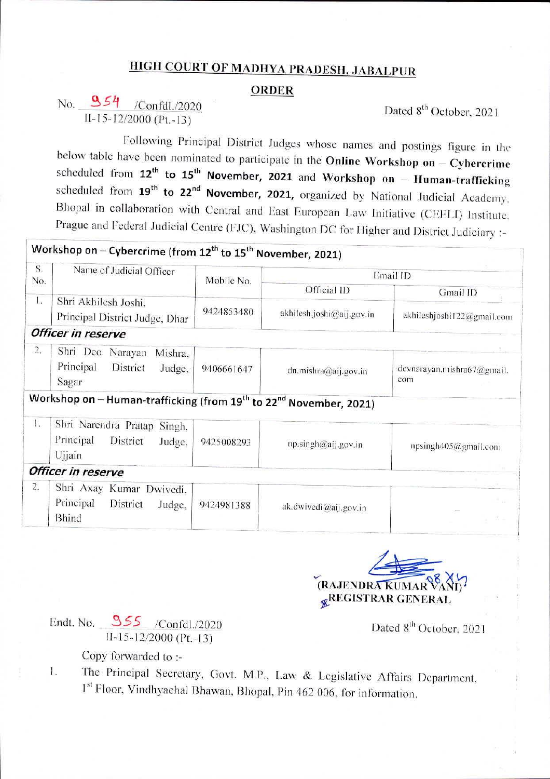## HIGH COURT OF MADHYA PRADESH, JABALPUR

### **ORDER**

## No.  $954$  /Confdl./2020  $II-15-12/2000 (Pt-13)$

Dated 8<sup>th</sup> October, 2021

Following Principal District Judges whose names and postings figure in the below table have been nominated to participate in **the Online Workshop on Cybercrime** scheduled from **12th to 15th November, 2021 and Workshop on Human-trafficking** scheduled from 19<sup>th</sup> to 22<sup>nd</sup> November, 2021, organized by National Judicial Academy. Bhopal in collaboration with Central and East European Law Initiative (CEELI) Institute. Prague and Federal Judicial Centre (FJC). Washington DC for Higher and District Judiciary

# **Workshop on** - **Cybercrime (from 12th to 15th November, 2021)**

| S.<br>No.        | Name of Judicial Officer                                                                   | Mobile No. | Email ID                  |                                    |
|------------------|--------------------------------------------------------------------------------------------|------------|---------------------------|------------------------------------|
|                  |                                                                                            |            | Official ID               | Gmail ID                           |
| $\frac{1}{2}$    | Shri Akhilesh Joshi.<br>Principal District Judge, Dhar                                     | 9424853480 | akhilesh.joshi@aij.gov.in | akhileshjoshi122@gmail.com         |
|                  | Officer in reserve                                                                         |            |                           |                                    |
| $\overline{2}$ . | Shri Deo<br>Narayan<br>Mishra,<br>Principal<br>District<br>Judge.<br>Sagar                 | 9406661647 | dn.mishra@aij.gov.in      | devnarayan, mishra67@gmail.<br>com |
|                  | Workshop on - Human-trafficking (from 19 <sup>th</sup> to 22 <sup>nd</sup> November, 2021) |            |                           |                                    |
| 1.               | Shri Narendra Pratap Singh,<br>Principal<br>District<br>Judge,<br>Ujjain                   | 9425008293 | np.singh@aij.gov.in       | npsingh405@gmail.com               |
|                  | Officer in reserve                                                                         |            |                           |                                    |
| 2.               | Shri Axay Kumar Dwivedi,<br>Principal<br>District<br>Judge,<br><b>Bhind</b>                | 9424981388 | ak.dwivedi@aij.gov.in     | $\sim 10^{-1}$                     |

(RAJENDRA*KUMAR* **&REGISTRAR GENERAL** 

Endt. No.  $955$  /Confdl./2020 11-15-12/2000 (Pt.-13)

Dated 8<sup>th</sup> October, 2021

Copy forwarded to :-

The Principal Secretary, Govt. M.P., Law & Legislative Affairs Department, 1. 1<sup>st</sup> Floor, Vindhyachal Bhawan, Bhopal, Pin 462 006, for information.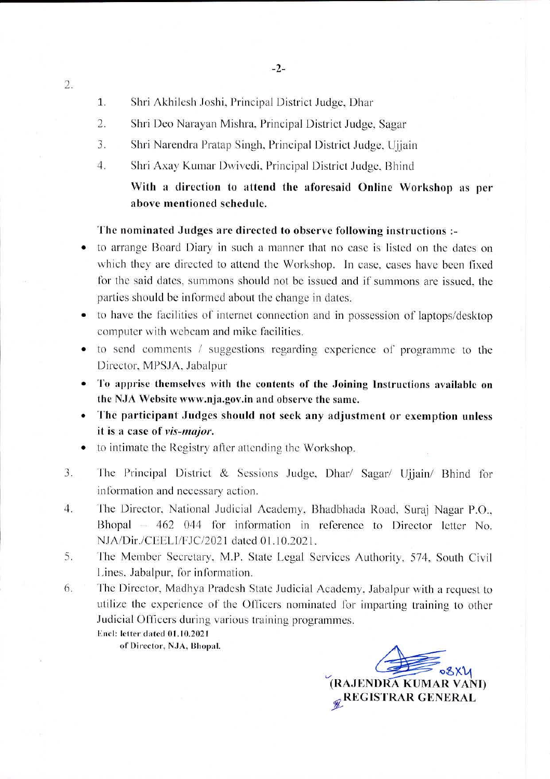Shri Akhilesh Joshi. Principal District Judge, Dhar 1.

2.

- Shri Deo Narayan Mishra. Principal District Judge, Sagar 2.
- Shri Narendra Pratap Singh. Principal District Judge. Ujjain 3.
- Shri Axay Kumar Dwivcdi. Principal District Judge. Rhind 4.

### With a direction to attend the aforesaid Online Workshop as per above mentioned schedule.

### The nominated Judges are directed to observe following instructions

- to arrange Board Diary in such a manner that no case is listed on the dates on which they are directed to attend the Workshop. In case, eases have been fixed for the said dates, summons should not be issued and if summons are issued, the parties should be informed about the change in dates.
- to have the facilities of internet connection and in possession of laptops/desktop computer with webcam and mike facilities.
- to send comments / suggestions regarding experience of programme to the Director, MPS.IA. Jabalpur
- To apprise themselves with the contents of the Joining Instructions available on the NJA Website [www.n](http://www.n)ja.gov.in and observe the same.
- The participant Judges should not seek any adjustment or exemption unless it is a case of *vis-major.*
- *•* to intimate the Registry after attending the Workshop.
- The Principal District & Sessions Judge. Dhar/ Sagar/ Ujjain/ Bhind for information and necessary action. J.
- fhe Director. National Judicial Academy. Bhadbhada Road. Suraj Nagar P.O.. Bhopal – 462 044 for information in reference to Director letter No. 4. NJA/Dir./CEELI/TJC/2021 dated 01.10.2021.
- 5. The Member Secretary, M.P. State Legal Services Authority, 574, South Civil Lines. Jabalpur, for information.
- The Director, Madhya Pradesh State Judicial Academy. Jabalpur with a request to utilize the experience of the Officers nominated for imparting training to other Judicial Officers during various training programmes. 6.
	- Encl: letter dated 01.10.2021

of Director, NJA, Bhopal.

(RAJENDRA KUMAR VANI) **REGISTRAR GENERAL**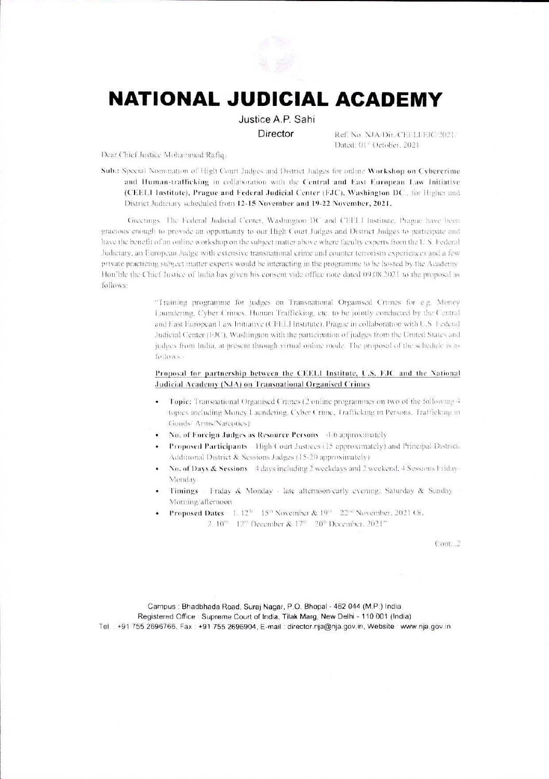

# **NATIONAL JUDICIAL ACADEMY**

Justice A.P. Sahi Director

Ref. No. NJA/Dir./CEELLEJC/2021/ Dated: 01° October, 2021.

Dear Chief Justice Mohammad Rafiq,

Sub.: Special Nonmaation of High Court Judges and District Judges for online Workshop on Cybercrime and Human-trafficking in collaboration with the Central and East European Law Initiative (CEEL1 Institute), Prague and Federal Judicial Center (FJC), Washington DC., for Higher and District Judiciary scheduled from 12-15 November and 19-22 November, 2021.

Greetings. The Federal Judicial Center, Washington DC and CEELI Institute, Prague have been gracious enough to provide an opportunity to our High Court Judges and District Judges to participate and have the benefit of an online workshop on the subject matter above where faculty experts from the U.S. Federal Judiciary, an European Judge with extensive transnational crime and counter terrorism experiences and a few private practicing subject matter experts would be interacting in the programme to be hosted by the Academy Hon'ble the Chief Justice of India has given his consent vide office note dated 09.08.2021 to the proposal as follows:

> "Training programme for judges on Transnational Organised Crimes for e.g. Money Laundering, Cyber Crimes, Human Trafficking, etc. to be jointly conducted by the Central and Fast European Law Initiative (CFFLI Institute), Prague in collaboration with U.S. Federal Judicial Center (FJC), Washington with the participation of judges from the United States and judges from India, at present through virtual online mode. The proposal of the schedule is as follows

#### Proposal for partnership between the CEELI Institute, U.S. FJC and the National Judicial Academy (NJA) on Transnational Organised Crimes

- Topic: Transnational Organised Crimes (2 online programmes on two of the following 4  $\bullet$ topics including Money Laundering, Cyber Crime, Trafficking in Persons, Trafficking in Goods/ Arms/Narcotics)
- No. of Foreign Judges as Resource Persons 4-6 approximately
- Proposed Participants High Court Justices (15 approximately) and Principal District. Additional District & Sessions Judges (15-20 approximately)
- No. of Days & Sessions 4 days including 2 weekdays and 2 weekend, 4 Sessions Friday-¥. Monday
- Timings Friday & Monday late afternoon/early evening; Saturday & Sunday Morning afternoon
- Proposed Dates 1, 12th 15th November & 19th 22nd November, 2021 Or. 2. 10<sup>th</sup> 12<sup>th</sup> December & 17<sup>th</sup> 20<sup>th</sup> December, 2021"

 $Com.2$ 

Campus : Bhadbhada Road, Suraj Nagar, P.O. Bhopal - 462 044 (M.P.) India Registered Office : Supreme Court of India, Tilak Marg, New Delhi - 110 001 (India) Tel +91 755 2696766, Fax +91 755 2696904, E-mail: director.nja@nja.gov.in, Website www.nja.gov.in